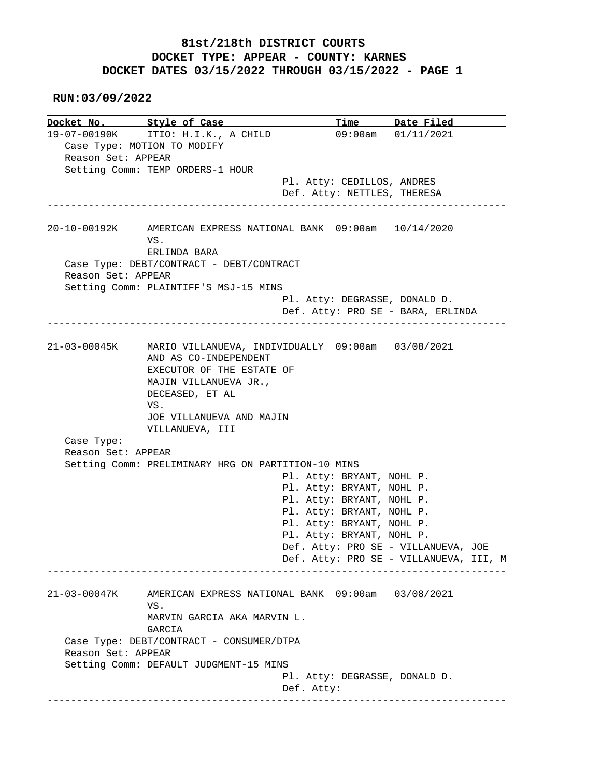## **81st/218th DISTRICT COURTS DOCKET TYPE: APPEAR - COUNTY: KARNES DOCKET DATES 03/15/2022 THROUGH 03/15/2022 - PAGE 1**

 **RUN:03/09/2022**

**Docket No. Style of Case Time Date Filed**<br>19-07-00190K ITIO: H.I.K., A CHILD 09:00am 01/11/2021 19-07-00190K ITIO: H.I.K., A CHILD Case Type: MOTION TO MODIFY Reason Set: APPEAR Setting Comm: TEMP ORDERS-1 HOUR Pl. Atty: CEDILLOS, ANDRES Def. Atty: NETTLES, THERESA ------------------------------------------------------------------------------ 20-10-00192K AMERICAN EXPRESS NATIONAL BANK 09:00am 10/14/2020 VS. ERLINDA BARA Case Type: DEBT/CONTRACT - DEBT/CONTRACT Reason Set: APPEAR Setting Comm: PLAINTIFF'S MSJ-15 MINS Pl. Atty: DEGRASSE, DONALD D. Def. Atty: PRO SE - BARA, ERLINDA ------------------------------------------------------------------------------ 21-03-00045K MARIO VILLANUEVA, INDIVIDUALLY 09:00am 03/08/2021 AND AS CO-INDEPENDENT EXECUTOR OF THE ESTATE OF MAJIN VILLANUEVA JR., DECEASED, ET AL VS. JOE VILLANUEVA AND MAJIN VILLANUEVA, III Case Type: Reason Set: APPEAR Setting Comm: PRELIMINARY HRG ON PARTITION-10 MINS Pl. Atty: BRYANT, NOHL P. Pl. Atty: BRYANT, NOHL P. Pl. Atty: BRYANT, NOHL P. Pl. Atty: BRYANT, NOHL P. Pl. Atty: BRYANT, NOHL P. Pl. Atty: BRYANT, NOHL P. Def. Atty: PRO SE - VILLANUEVA, JOE Def. Atty: PRO SE - VILLANUEVA, III, M ------------------------------------------------------------------------------ 21-03-00047K AMERICAN EXPRESS NATIONAL BANK 09:00am 03/08/2021 VS. MARVIN GARCIA AKA MARVIN L. GARCIA Case Type: DEBT/CONTRACT - CONSUMER/DTPA Reason Set: APPEAR Setting Comm: DEFAULT JUDGMENT-15 MINS Pl. Atty: DEGRASSE, DONALD D. Def. Atty: ------------------------------------------------------------------------------